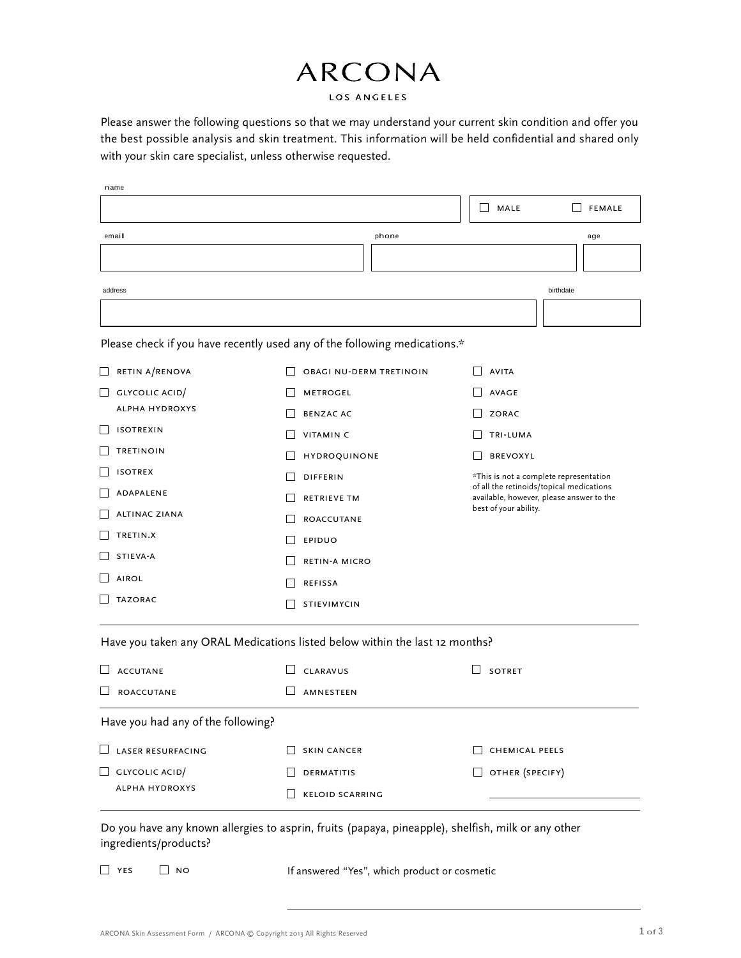#### LOS ANGELES

Please answer the following questions so that we may understand your current skin condition and offer you the best possible analysis and skin treatment. This information will be held confidential and shared only with your skin care specialist, unless otherwise requested.

| name                               |                                                                             |                                                                                      |
|------------------------------------|-----------------------------------------------------------------------------|--------------------------------------------------------------------------------------|
|                                    |                                                                             | MALE<br><b>FEMALE</b><br>$\Box$                                                      |
| email                              | phone                                                                       | age                                                                                  |
|                                    |                                                                             |                                                                                      |
|                                    |                                                                             |                                                                                      |
| address                            |                                                                             | birthdate                                                                            |
|                                    |                                                                             |                                                                                      |
|                                    | Please check if you have recently used any of the following medications.*   |                                                                                      |
| RETIN A/RENOVA                     | OBAGI NU-DERM TRETINOIN                                                     | AVITA                                                                                |
| GLYCOLIC ACID/                     | <b>METROGEL</b>                                                             | <b>AVAGE</b>                                                                         |
| <b>ALPHA HYDROXYS</b>              | <b>BENZAC AC</b>                                                            | ZORAC                                                                                |
| <b>ISOTREXIN</b>                   | <b>VITAMIN C</b>                                                            | TRI-LUMA                                                                             |
| <b>TRETINOIN</b>                   | HYDROQUINONE                                                                | <b>BREVOXYL</b>                                                                      |
| <b>ISOTREX</b>                     | <b>DIFFERIN</b>                                                             | *This is not a complete representation                                               |
| ADAPALENE                          | <b>RETRIEVE TM</b>                                                          | of all the retinoids/topical medications<br>available, however, please answer to the |
| <b>ALTINAC ZIANA</b>               | <b>ROACCUTANE</b>                                                           | best of your ability.                                                                |
| TRETIN.X                           | <b>EPIDUO</b>                                                               |                                                                                      |
| STIEVA-A                           | <b>RETIN-A MICRO</b>                                                        |                                                                                      |
| <b>AIROL</b>                       | <b>REFISSA</b>                                                              |                                                                                      |
| <b>TAZORAC</b>                     | <b>STIEVIMYCIN</b>                                                          |                                                                                      |
|                                    |                                                                             |                                                                                      |
|                                    | Have you taken any ORAL Medications listed below within the last 12 months? |                                                                                      |
| <b>ACCUTANE</b>                    | CLARAVUS                                                                    | <b>SOTRET</b>                                                                        |
| ROACCUTANE                         | AMNESTEEN                                                                   |                                                                                      |
| Have you had any of the following? |                                                                             |                                                                                      |
| <b>LASER RESURFACING</b>           | <b>SKIN CANCER</b>                                                          | <b>CHEMICAL PEELS</b>                                                                |
| <b>GLYCOLIC ACID</b>               | DERMATITIS                                                                  | OTHER (SPECIFY)<br>$\overline{\phantom{a}}$                                          |
| <b>ALPHA HYDROXYS</b>              | <b>KELOID SCARRING</b>                                                      |                                                                                      |

Do you have any known allergies to asprin, fruits (papaya, pineapple), shelfish, milk or any other ingredients/products?

 $\Box$  YES  $\Box$  NO If answered "Yes", which product or cosmetic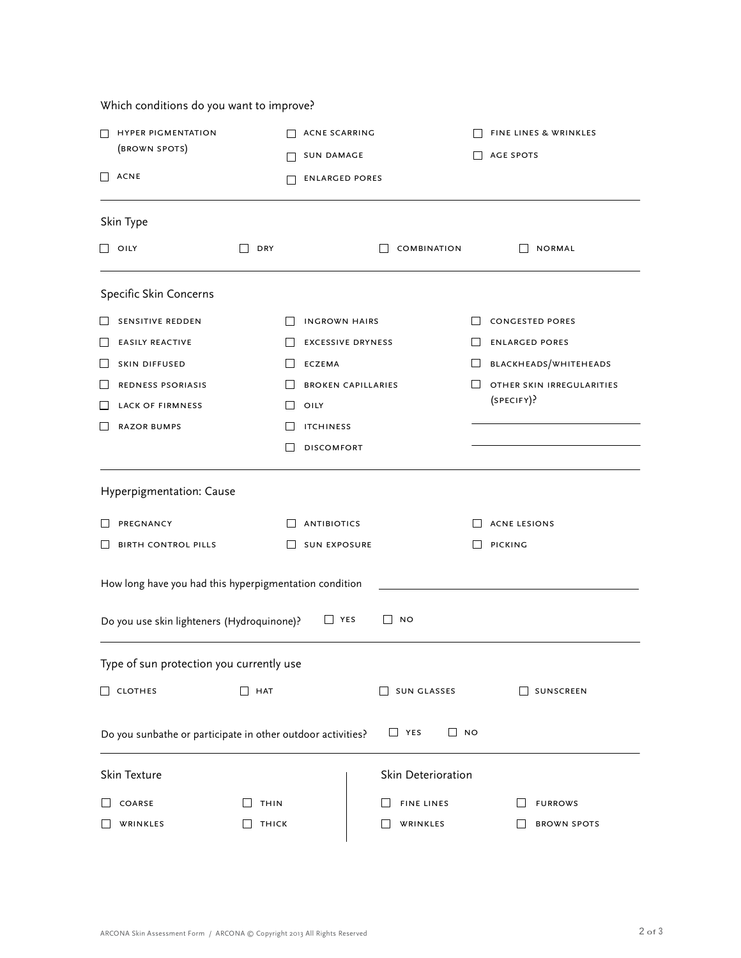**HYPER PIGMENTATION** (brown spots)  $\Box$  ACNE ACNE SCARRING **NO SUN DAMAGE**  $\Box$  ENLARGED PORES FINE LINES & WRINKLES  $\Box$  AGE SPOTS Skin Type  $\Box$  oily  $\Box$  dry  $\Box$  dry  $\Box$  combination  $\Box$  normal Specific Skin Concerns SENSITIVE REDDEN  $\Box$  EASILY REACTIVE SKIN DIFFUSED redness psoriasis **LACK OF FIRMNESS** RAZOR BUMPS  $\Box$  INGROWN HAIRS  $\Box$  EXCESSIVE DRYNESS  $\Box$  ECZEMA  $B$ BROKEN CAPILLARIES  $\Box$  oily  $\Box$  itchiness DISCOMFORT CONGESTED PORES  $\Box$  ENLARGED PORES blackheads/whiteheads O OTHER SKIN IRREGULARITIES (specify)? Hyperpigmentation: Cause **PREGNANCY**  $\Box$  BIRTH CONTROL PILLS  $\Box$  ANTIBIOTICS SUN EXPOSURE  $\Box$  ACNE LESIONS **PICKING** How long have you had this hyperpigmentation condition Do you use skin lighteners (Hydroquinone)?  $\Box$  YES  $\Box$  NO Type of sun protection you currently use  $\Box$  clothes  $\Box$  hat  $\Box$  sun glasses  $\Box$  sunscreen Do you sunbathe or participate in other outdoor activities?  $\Box$  YES  $\Box$  NO Skin Texture Skin Deterioration COARSE **WRINKLES**  $\Box$  THIN  $\Box$  THICK  $\Box$  FINE LINES **WRINKLES**  $\Box$  FURROWS **BROWN SPOTS** 

Which conditions do you want to improve?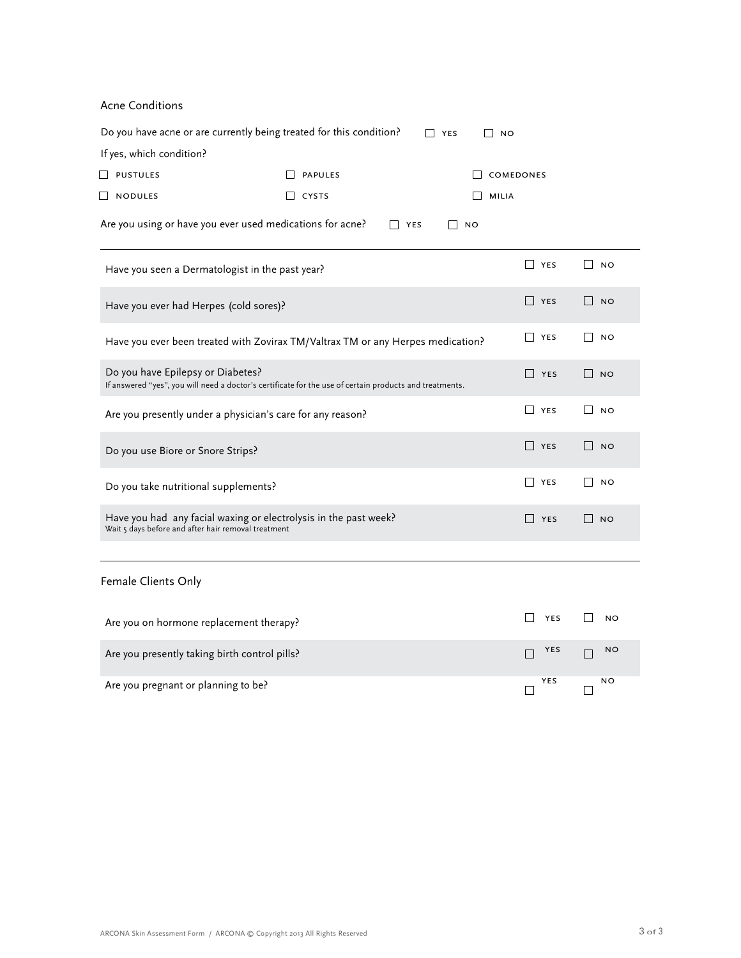Acne Conditions

|                                                            | Do you have acne or are currently being treated for this condition?                                     | $\Box$ YES<br>$\Box$ No  |                     |                                |
|------------------------------------------------------------|---------------------------------------------------------------------------------------------------------|--------------------------|---------------------|--------------------------------|
| If yes, which condition?                                   |                                                                                                         |                          |                     |                                |
| D PUSTULES                                                 | <b>PAPULES</b>                                                                                          |                          | <b>COMEDONES</b>    |                                |
| <b>NODULES</b><br>ш                                        | $\blacksquare$<br>CYSTS                                                                                 | <b>MILIA</b>             |                     |                                |
|                                                            | Are you using or have you ever used medications for acne?                                               | $\Box$ YES<br>$\vert$ NO |                     |                                |
| Have you seen a Dermatologist in the past year?            |                                                                                                         |                          | <b>TYES</b>         | I NO                           |
| Have you ever had Herpes (cold sores)?                     |                                                                                                         |                          | $\Box$<br>YES       | $\mathsf{L}$<br><b>NO</b>      |
|                                                            | Have you ever been treated with Zovirax TM/Valtrax TM or any Herpes medication?                         |                          | $\Box$ YES          | $\mathsf{I}$<br><b>NO</b>      |
| Do you have Epilepsy or Diabetes?                          | If answered "yes", you will need a doctor's certificate for the use of certain products and treatments. |                          | $\Box$<br>YES       | $\Box$<br><b>NO</b>            |
| Are you presently under a physician's care for any reason? |                                                                                                         |                          | <b>NES</b>          | $\mathsf{I}$<br><b>NO</b>      |
| Do you use Biore or Snore Strips?                          |                                                                                                         |                          | $\Box$<br>YES       | $\Box$<br><b>NO</b>            |
| Do you take nutritional supplements?                       |                                                                                                         |                          | YES <sup>T</sup>    | $\mathsf{L}$<br><b>NO</b>      |
| Wait 5 days before and after hair removal treatment        | Have you had any facial waxing or electrolysis in the past week?                                        |                          | $\Box$<br>YES       | $\vert$ NO                     |
| Female Clients Only                                        |                                                                                                         |                          |                     |                                |
| Are you on hormone replacement therapy?                    |                                                                                                         |                          | $\mathbf{I}$<br>YES | <b>NO</b>                      |
| Are you presently taking birth control pills?              |                                                                                                         |                          | YES<br>П            | NO<br>П                        |
| Are you pregnant or planning to be?                        |                                                                                                         |                          | YES<br>$\Box$       | <b>NO</b><br>$\vert \ \ \vert$ |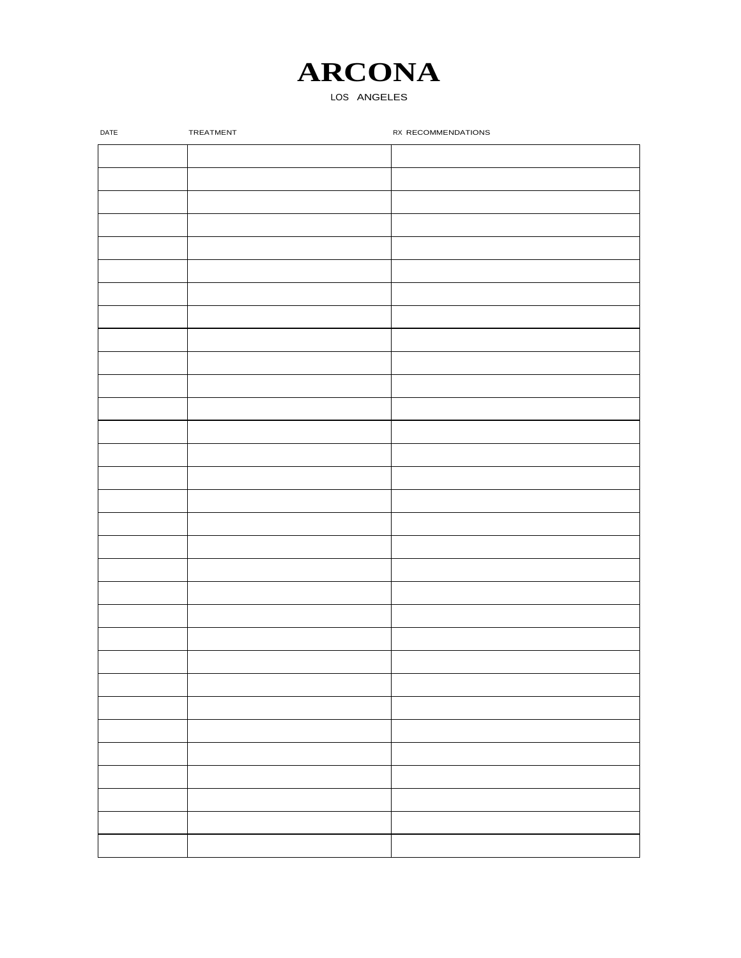#### LOS ANGELES

| DATE | TREATMENT | RX RECOMMENDATIONS |
|------|-----------|--------------------|
|      |           |                    |
|      |           |                    |
|      |           |                    |
|      |           |                    |
|      |           |                    |
|      |           |                    |
|      |           |                    |
|      |           |                    |
|      |           |                    |
|      |           |                    |
|      |           |                    |
|      |           |                    |
|      |           |                    |
|      |           |                    |
|      |           |                    |
|      |           |                    |
|      |           |                    |
|      |           |                    |
|      |           |                    |
|      |           |                    |
|      |           |                    |
|      |           |                    |
|      |           |                    |
|      |           |                    |
|      |           |                    |
|      |           |                    |
|      |           |                    |
|      |           |                    |
|      |           |                    |
|      |           |                    |
|      |           |                    |
|      |           |                    |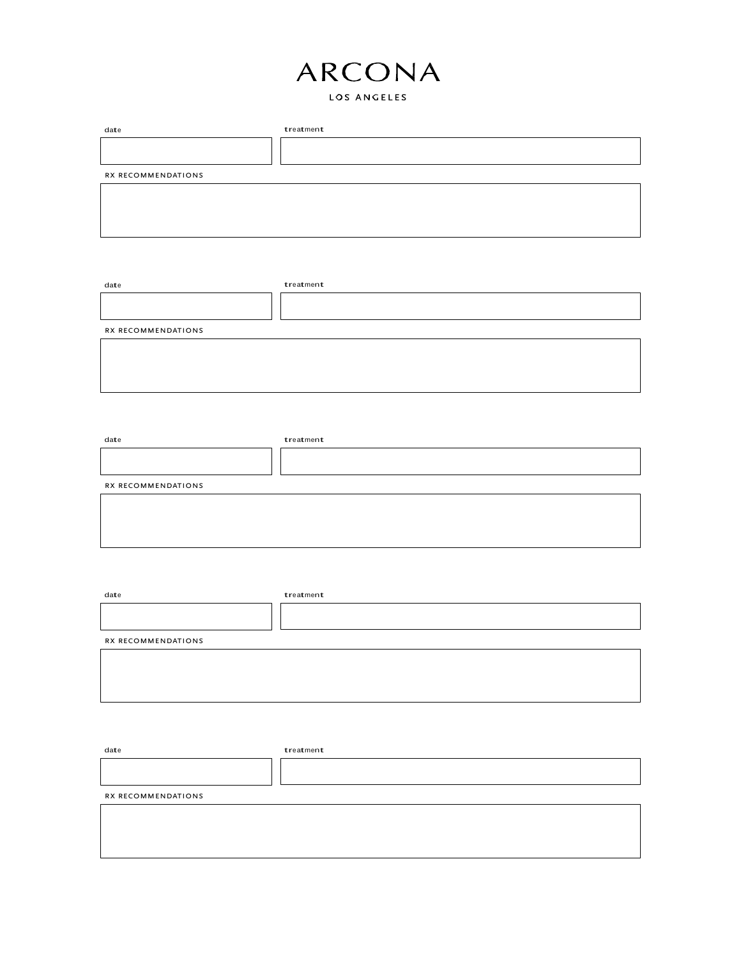### LOS ANGELES

| date               | treatment |  |
|--------------------|-----------|--|
|                    |           |  |
|                    |           |  |
| RX RECOMMENDATIONS |           |  |
|                    |           |  |
|                    |           |  |
|                    |           |  |
|                    |           |  |

| date               | treatment |  |
|--------------------|-----------|--|
|                    |           |  |
|                    |           |  |
| RX RECOMMENDATIONS |           |  |
|                    |           |  |
|                    |           |  |
|                    |           |  |
|                    |           |  |

| date               | treatment |  |
|--------------------|-----------|--|
|                    |           |  |
|                    |           |  |
| RX RECOMMENDATIONS |           |  |
|                    |           |  |
|                    |           |  |
|                    |           |  |
|                    |           |  |

| date               | treatment |
|--------------------|-----------|
|                    |           |
|                    |           |
| RX RECOMMENDATIONS |           |
|                    |           |
|                    |           |
|                    |           |

| date               | treatment |  |
|--------------------|-----------|--|
|                    |           |  |
|                    |           |  |
| RX RECOMMENDATIONS |           |  |
|                    |           |  |
|                    |           |  |